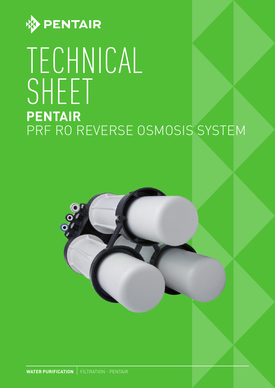

# TECHNICAL SHEET **PENTAIR**  PRF RO REVERSE OSMOSIS SYSTEM

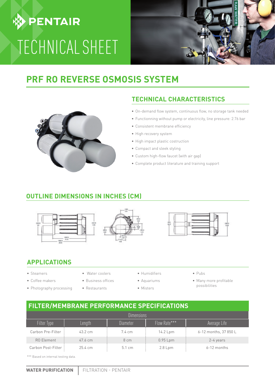# **DENTAIR** TECHNICAL SHEET



### **PRF RO REVERSE OSMOSIS SYSTEM**



#### **TECHNICAL CHARACTERISTICS**

- **•** On-demand flow system, continuous flow, no storage tank needed
- **•** Functionning without pump or electricity, line pressure: 2.76 bar
- **•** Consistent membrane efficiency
- **•** High recovery system
- **•** High impact plastic costruction
- **•** Compact and sleek styling
- **•** Custom high-flow faucet (with air gap)
- **•** Complete product literature and training support

#### **OUTLINE DIMENSIONS IN INCHES (CM)**







#### **APPLICATIONS**

- **•** Steamers
- **•** Coffee makers
- **•** Photography processing
- **•** Water coolers **•** Business offices
- **•** Restaurants
- **•** Humidifiers
- **•** Aquariums **•** Misters
- **•** Pubs
- **•** Many more profitable possibilities

#### **FILTER/MEMBRANE PERFORMANCE SPECIFICATIONS**

| <b>Dimensions</b>   |                   |                  |              |                       |  |
|---------------------|-------------------|------------------|--------------|-----------------------|--|
| Filter Type         | Length            | Diameter         | Flow Rate*** | Average Life          |  |
| Carbon Pre-Filter   | 43.2 cm           | 7.4 cm           | 14.2 Lpm     | 6-12 months, 37 850 L |  |
| <b>RO</b> Element   | 47.6 cm           | 8 cm             | $0.95$ Lpm   | 2-4 years             |  |
| Carbon Post-Filter: | $25.4 \text{ cm}$ | $5.1 \text{ cm}$ | 2.8 Lpm      | $6-12$ months         |  |

\*\*\* Based on internal testing data.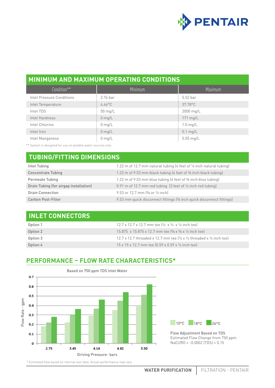

#### **MINIMUM AND MAXIMUM OPERATING CONDITIONS**

| Condition**               | Minimum          | Maximum            |
|---------------------------|------------------|--------------------|
| Inlet Pressure Conditions | $2.76$ bar       | $5.52$ bar         |
| Inlet Temperature         | $4.44^{\circ}$ C | 37.78°C            |
| Inlet TDS                 | 50 mg/L          | 2000 mg/L          |
| Inlet Hardness            | $0$ mg/L         | 171 mg/L           |
| Inlet Chlorine            | $0 \text{ mg/L}$ | $1.0$ mg/L         |
| Inlet Iron                | $0$ mg/L         | $0.1 \text{ mg/L}$ |
| Inlet Manganese           | $0$ mg/L         | $0.05$ mg/L        |

\*\* System is designed for use on potable water sources only.

### **TUBING/FITTING DIMENSIONS**

| Inlet Tubing                           | 1.22 m of 12.7 mm natural tubing (4 feet of 1/2 inch natural tubing)     |
|----------------------------------------|--------------------------------------------------------------------------|
| <b>Concentrate Tubing</b>              | 1.22 m of 9.53 mm black tubing (4 feet of % inch black tubing)           |
| Permeate Tubing                        | 1.22 m of 9.53 mm blue tubing (4 feet of % inch blue tubing)             |
| Drain Tubing (for airgap installation) | $0.91$ m of 12.7 mm red tubing (3 feet of $\frac{1}{2}$ inch red tubing) |
| <b>Drain Connection</b>                | 9.53 or 12.7 mm $[3/8$ or $1/2$ inch                                     |
| Carbon Post-Filter                     | 9.53 mm quick disconnect fittings (% inch quick disconnect fittings)     |

| <b>INLET CONNECTORS</b> |                                                                                                     |
|-------------------------|-----------------------------------------------------------------------------------------------------|
| Option 1                | 12.7 x 12.7 x 12.7 mm tee $\frac{1}{2}$ x $\frac{1}{2}$ x $\frac{1}{2}$ inch tee                    |
| Option 2                | 15.875 x 15.875 x 12.7 mm tee [5/8 x 5/8 x 1/2 inch tee]                                            |
| Option 3                | 12.7 x 12.7 threaded x 12.7 mm tee $\frac{1}{2}$ x $\frac{1}{2}$ threaded x $\frac{1}{2}$ inch tee) |
| Option 4                | 15 x 15 x 12.7 mm tee (0.59 x 0.59 x 1/2 inch tee)                                                  |

#### **PERFORMANCE – FLOW RATE CHARACTERISTICS\***





Flow Adjustment Based on TDS Estimated Flow Change from 750 ppm NaCl/RO = -0.0002 (TDS) + 0.15

\* Estimated flow based on internal test data. Actual performance may vary.